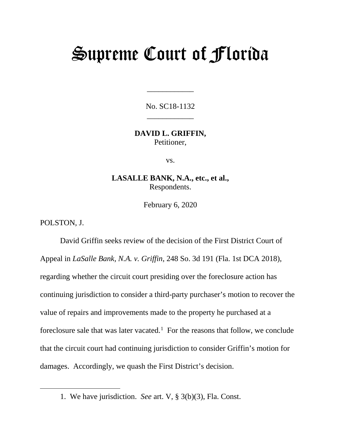## Supreme Court of Florida

No. SC18-1132 \_\_\_\_\_\_\_\_\_\_\_\_

\_\_\_\_\_\_\_\_\_\_\_\_

**DAVID L. GRIFFIN,** Petitioner,

vs.

**LASALLE BANK, N.A., etc., et al.,** Respondents.

February 6, 2020

POLSTON, J.

<span id="page-0-0"></span> $\overline{a}$ 

David Griffin seeks review of the decision of the First District Court of Appeal in *LaSalle Bank, N.A. v. Griffin*, 248 So. 3d 191 (Fla. 1st DCA 2018), regarding whether the circuit court presiding over the foreclosure action has continuing jurisdiction to consider a third-party purchaser's motion to recover the value of repairs and improvements made to the property he purchased at a foreclosure sale that was later vacated. [1](#page-0-0) For the reasons that follow, we conclude that the circuit court had continuing jurisdiction to consider Griffin's motion for damages. Accordingly, we quash the First District's decision.

<sup>1.</sup> We have jurisdiction. *See* art. V, § 3(b)(3), Fla. Const.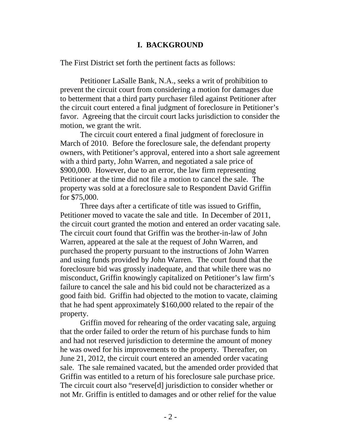## **I. BACKGROUND**

The First District set forth the pertinent facts as follows:

Petitioner LaSalle Bank, N.A., seeks a writ of prohibition to prevent the circuit court from considering a motion for damages due to betterment that a third party purchaser filed against Petitioner after the circuit court entered a final judgment of foreclosure in Petitioner's favor. Agreeing that the circuit court lacks jurisdiction to consider the motion, we grant the writ.

The circuit court entered a final judgment of foreclosure in March of 2010. Before the foreclosure sale, the defendant property owners, with Petitioner's approval, entered into a short sale agreement with a third party, John Warren, and negotiated a sale price of \$900,000. However, due to an error, the law firm representing Petitioner at the time did not file a motion to cancel the sale. The property was sold at a foreclosure sale to Respondent David Griffin for \$75,000.

Three days after a certificate of title was issued to Griffin, Petitioner moved to vacate the sale and title. In December of 2011, the circuit court granted the motion and entered an order vacating sale. The circuit court found that Griffin was the brother-in-law of John Warren, appeared at the sale at the request of John Warren, and purchased the property pursuant to the instructions of John Warren and using funds provided by John Warren. The court found that the foreclosure bid was grossly inadequate, and that while there was no misconduct, Griffin knowingly capitalized on Petitioner's law firm's failure to cancel the sale and his bid could not be characterized as a good faith bid. Griffin had objected to the motion to vacate, claiming that he had spent approximately \$160,000 related to the repair of the property.

Griffin moved for rehearing of the order vacating sale, arguing that the order failed to order the return of his purchase funds to him and had not reserved jurisdiction to determine the amount of money he was owed for his improvements to the property. Thereafter, on June 21, 2012, the circuit court entered an amended order vacating sale. The sale remained vacated, but the amended order provided that Griffin was entitled to a return of his foreclosure sale purchase price. The circuit court also "reserve[d] jurisdiction to consider whether or not Mr. Griffin is entitled to damages and or other relief for the value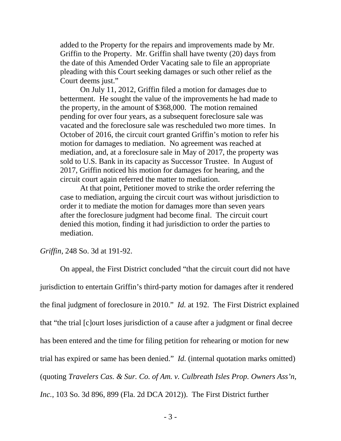added to the Property for the repairs and improvements made by Mr. Griffin to the Property. Mr. Griffin shall have twenty (20) days from the date of this Amended Order Vacating sale to file an appropriate pleading with this Court seeking damages or such other relief as the Court deems just."

On July 11, 2012, Griffin filed a motion for damages due to betterment. He sought the value of the improvements he had made to the property, in the amount of \$368,000. The motion remained pending for over four years, as a subsequent foreclosure sale was vacated and the foreclosure sale was rescheduled two more times. In October of 2016, the circuit court granted Griffin's motion to refer his motion for damages to mediation. No agreement was reached at mediation, and, at a foreclosure sale in May of 2017, the property was sold to U.S. Bank in its capacity as Successor Trustee. In August of 2017, Griffin noticed his motion for damages for hearing, and the circuit court again referred the matter to mediation.

At that point, Petitioner moved to strike the order referring the case to mediation, arguing the circuit court was without jurisdiction to order it to mediate the motion for damages more than seven years after the foreclosure judgment had become final. The circuit court denied this motion, finding it had jurisdiction to order the parties to mediation.

*Griffin*, 248 So. 3d at 191-92.

On appeal, the First District concluded "that the circuit court did not have jurisdiction to entertain Griffin's third-party motion for damages after it rendered the final judgment of foreclosure in 2010." *Id.* at 192. The First District explained that "the trial [c]ourt loses jurisdiction of a cause after a judgment or final decree has been entered and the time for filing petition for rehearing or motion for new trial has expired or same has been denied." *Id.* (internal quotation marks omitted) (quoting *Travelers Cas. & Sur. Co. of Am. v. Culbreath Isles Prop. Owners Ass'n, Inc.*, 103 So. 3d 896, 899 (Fla. 2d DCA 2012)). The First District further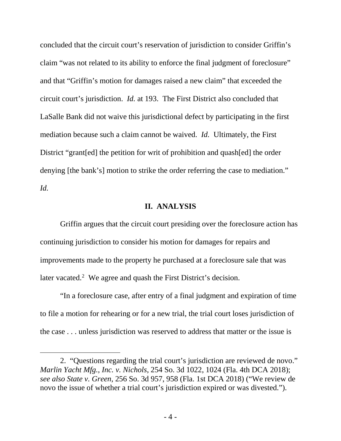concluded that the circuit court's reservation of jurisdiction to consider Griffin's claim "was not related to its ability to enforce the final judgment of foreclosure" and that "Griffin's motion for damages raised a new claim" that exceeded the circuit court's jurisdiction. *Id.* at 193. The First District also concluded that LaSalle Bank did not waive this jurisdictional defect by participating in the first mediation because such a claim cannot be waived. *Id.* Ultimately, the First District "grant[ed] the petition for writ of prohibition and quash[ed] the order denying [the bank's] motion to strike the order referring the case to mediation." *Id.*

## **II. ANALYSIS**

Griffin argues that the circuit court presiding over the foreclosure action has continuing jurisdiction to consider his motion for damages for repairs and improvements made to the property he purchased at a foreclosure sale that was later vacated.<sup>[2](#page-3-0)</sup> We agree and quash the First District's decision.

"In a foreclosure case, after entry of a final judgment and expiration of time to file a motion for rehearing or for a new trial, the trial court loses jurisdiction of the case . . . unless jurisdiction was reserved to address that matter or the issue is

 $\overline{a}$ 

<span id="page-3-0"></span><sup>2. &</sup>quot;Questions regarding the trial court's jurisdiction are reviewed de novo." *Marlin Yacht Mfg., Inc. v. Nichols*, 254 So. 3d 1022, 1024 (Fla. 4th DCA 2018); *see also State v. Green*, 256 So. 3d 957, 958 (Fla. 1st DCA 2018) ("We review de novo the issue of whether a trial court's jurisdiction expired or was divested.").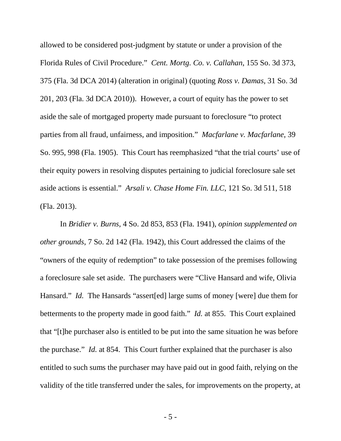allowed to be considered post-judgment by statute or under a provision of the Florida Rules of Civil Procedure." *Cent. Mortg. Co. v. Callahan*, 155 So. 3d 373, 375 (Fla. 3d DCA 2014) (alteration in original) (quoting *Ross v. Damas*, 31 So. 3d 201, 203 (Fla. 3d DCA 2010)). However, a court of equity has the power to set aside the sale of mortgaged property made pursuant to foreclosure "to protect parties from all fraud, unfairness, and imposition." *Macfarlane v. Macfarlane*, 39 So. 995, 998 (Fla. 1905). This Court has reemphasized "that the trial courts' use of their equity powers in resolving disputes pertaining to judicial foreclosure sale set aside actions is essential." *Arsali v. Chase Home Fin. LLC*, 121 So. 3d 511, 518 (Fla. 2013).

In *Bridier v. Burns*, 4 So. 2d 853, 853 (Fla. 1941), *opinion supplemented on other grounds*, 7 So. 2d 142 (Fla. 1942), this Court addressed the claims of the "owners of the equity of redemption" to take possession of the premises following a foreclosure sale set aside. The purchasers were "Clive Hansard and wife, Olivia Hansard." *Id.* The Hansards "assert [ed] large sums of money [were] due them for betterments to the property made in good faith." *Id.* at 855. This Court explained that "[t]he purchaser also is entitled to be put into the same situation he was before the purchase." *Id.* at 854. This Court further explained that the purchaser is also entitled to such sums the purchaser may have paid out in good faith, relying on the validity of the title transferred under the sales, for improvements on the property, at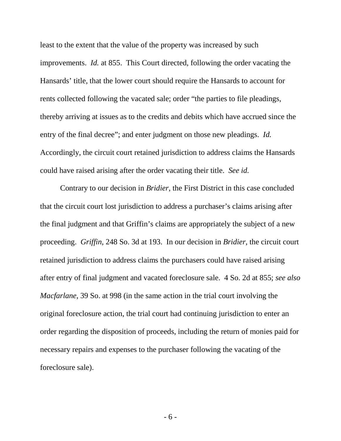least to the extent that the value of the property was increased by such improvements. *Id.* at 855. This Court directed, following the order vacating the Hansards' title, that the lower court should require the Hansards to account for rents collected following the vacated sale; order "the parties to file pleadings, thereby arriving at issues as to the credits and debits which have accrued since the entry of the final decree"; and enter judgment on those new pleadings. *Id.* Accordingly, the circuit court retained jurisdiction to address claims the Hansards could have raised arising after the order vacating their title. *See id.*

Contrary to our decision in *Bridier*, the First District in this case concluded that the circuit court lost jurisdiction to address a purchaser's claims arising after the final judgment and that Griffin's claims are appropriately the subject of a new proceeding. *Griffin*, 248 So. 3d at 193. In our decision in *Bridier*, the circuit court retained jurisdiction to address claims the purchasers could have raised arising after entry of final judgment and vacated foreclosure sale. 4 So. 2d at 855; *see also Macfarlane*, 39 So. at 998 (in the same action in the trial court involving the original foreclosure action, the trial court had continuing jurisdiction to enter an order regarding the disposition of proceeds, including the return of monies paid for necessary repairs and expenses to the purchaser following the vacating of the foreclosure sale).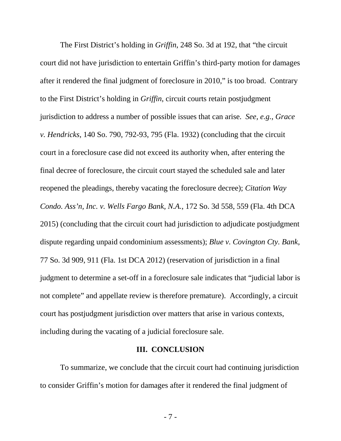The First District's holding in *Griffin*, 248 So. 3d at 192, that "the circuit court did not have jurisdiction to entertain Griffin's third-party motion for damages after it rendered the final judgment of foreclosure in 2010," is too broad. Contrary to the First District's holding in *Griffin*, circuit courts retain postjudgment jurisdiction to address a number of possible issues that can arise. *See, e.g.*, *Grace v. Hendricks*, 140 So. 790, 792-93, 795 (Fla. 1932) (concluding that the circuit court in a foreclosure case did not exceed its authority when, after entering the final decree of foreclosure, the circuit court stayed the scheduled sale and later reopened the pleadings, thereby vacating the foreclosure decree); *Citation Way Condo. Ass'n, Inc. v. Wells Fargo Bank, N.A.*, 172 So. 3d 558, 559 (Fla. 4th DCA 2015) (concluding that the circuit court had jurisdiction to adjudicate postjudgment dispute regarding unpaid condominium assessments); *Blue v. Covington Cty. Bank*, 77 So. 3d 909, 911 (Fla. 1st DCA 2012) (reservation of jurisdiction in a final judgment to determine a set-off in a foreclosure sale indicates that "judicial labor is not complete" and appellate review is therefore premature). Accordingly, a circuit court has postjudgment jurisdiction over matters that arise in various contexts, including during the vacating of a judicial foreclosure sale.

## **III. CONCLUSION**

To summarize, we conclude that the circuit court had continuing jurisdiction to consider Griffin's motion for damages after it rendered the final judgment of

- 7 -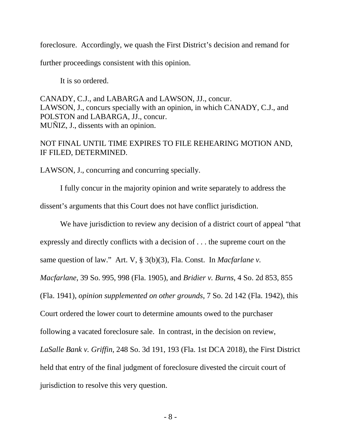foreclosure. Accordingly, we quash the First District's decision and remand for

further proceedings consistent with this opinion.

It is so ordered.

CANADY, C.J., and LABARGA and LAWSON, JJ., concur. LAWSON, J., concurs specially with an opinion, in which CANADY, C.J., and POLSTON and LABARGA, JJ., concur. MUÑIZ, J., dissents with an opinion.

NOT FINAL UNTIL TIME EXPIRES TO FILE REHEARING MOTION AND, IF FILED, DETERMINED.

LAWSON, J., concurring and concurring specially.

I fully concur in the majority opinion and write separately to address the dissent's arguments that this Court does not have conflict jurisdiction.

We have jurisdiction to review any decision of a district court of appeal "that expressly and directly conflicts with a decision of . . . the supreme court on the same question of law." Art. V, § 3(b)(3), Fla. Const. In *Macfarlane v. Macfarlane*, 39 So. 995, 998 (Fla. 1905), and *Bridier v. Burns*, 4 So. 2d 853, 855 (Fla. 1941), *opinion supplemented on other grounds*, 7 So. 2d 142 (Fla. 1942), this Court ordered the lower court to determine amounts owed to the purchaser following a vacated foreclosure sale. In contrast, in the decision on review, *LaSalle Bank v. Griffin*, 248 So. 3d 191, 193 (Fla. 1st DCA 2018), the First District held that entry of the final judgment of foreclosure divested the circuit court of jurisdiction to resolve this very question.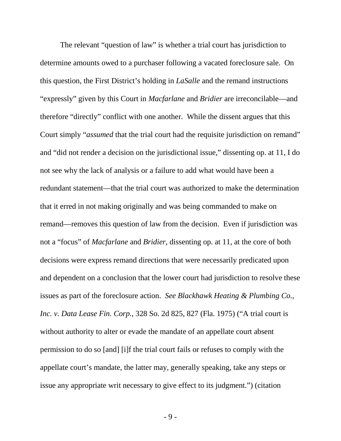The relevant "question of law" is whether a trial court has jurisdiction to determine amounts owed to a purchaser following a vacated foreclosure sale. On this question, the First District's holding in *LaSalle* and the remand instructions "expressly" given by this Court in *Macfarlane* and *Bridier* are irreconcilable—and therefore "directly" conflict with one another. While the dissent argues that this Court simply "*assumed* that the trial court had the requisite jurisdiction on remand" and "did not render a decision on the jurisdictional issue," dissenting op. at 11, I do not see why the lack of analysis or a failure to add what would have been a redundant statement—that the trial court was authorized to make the determination that it erred in not making originally and was being commanded to make on remand—removes this question of law from the decision. Even if jurisdiction was not a "focus" of *Macfarlane* and *Bridier*, dissenting op. at 11, at the core of both decisions were express remand directions that were necessarily predicated upon and dependent on a conclusion that the lower court had jurisdiction to resolve these issues as part of the foreclosure action. *See Blackhawk Heating & Plumbing Co., Inc. v. Data Lease Fin. Corp.*, 328 So. 2d 825, 827 (Fla. 1975) ("A trial court is without authority to alter or evade the mandate of an appellate court absent permission to do so [and] [i]f the trial court fails or refuses to comply with the appellate court's mandate, the latter may, generally speaking, take any steps or issue any appropriate writ necessary to give effect to its judgment.") (citation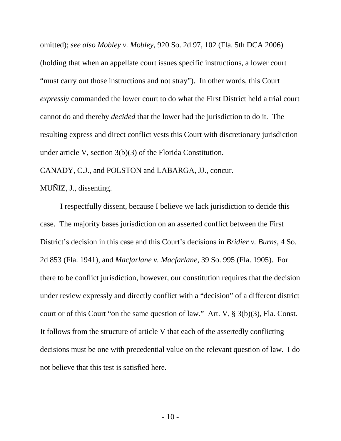omitted); *see also Mobley v. Mobley*, 920 So. 2d 97, 102 (Fla. 5th DCA 2006) (holding that when an appellate court issues specific instructions, a lower court "must carry out those instructions and not stray"). In other words, this Court *expressly* commanded the lower court to do what the First District held a trial court cannot do and thereby *decided* that the lower had the jurisdiction to do it. The resulting express and direct conflict vests this Court with discretionary jurisdiction under article V, section 3(b)(3) of the Florida Constitution.

CANADY, C.J., and POLSTON and LABARGA, JJ., concur.

MUÑIZ, J., dissenting.

I respectfully dissent, because I believe we lack jurisdiction to decide this case. The majority bases jurisdiction on an asserted conflict between the First District's decision in this case and this Court's decisions in *Bridier v. Burns*, 4 So. 2d 853 (Fla. 1941), and *Macfarlane v. Macfarlane*, 39 So. 995 (Fla. 1905). For there to be conflict jurisdiction, however, our constitution requires that the decision under review expressly and directly conflict with a "decision" of a different district court or of this Court "on the same question of law." Art. V, § 3(b)(3), Fla. Const. It follows from the structure of article V that each of the assertedly conflicting decisions must be one with precedential value on the relevant question of law. I do not believe that this test is satisfied here.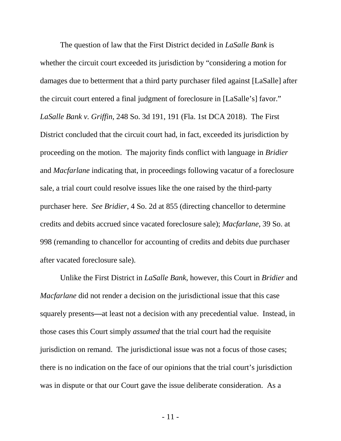The question of law that the First District decided in *LaSalle Bank* is whether the circuit court exceeded its jurisdiction by "considering a motion for damages due to betterment that a third party purchaser filed against [LaSalle] after the circuit court entered a final judgment of foreclosure in [LaSalle's] favor." *LaSalle Bank v. Griffin*, 248 So. 3d 191, 191 (Fla. 1st DCA 2018). The First District concluded that the circuit court had, in fact, exceeded its jurisdiction by proceeding on the motion. The majority finds conflict with language in *Bridier* and *Macfarlane* indicating that, in proceedings following vacatur of a foreclosure sale, a trial court could resolve issues like the one raised by the third-party purchaser here. *See Bridier*, 4 So. 2d at 855 (directing chancellor to determine credits and debits accrued since vacated foreclosure sale); *Macfarlane*, 39 So. at 998 (remanding to chancellor for accounting of credits and debits due purchaser after vacated foreclosure sale).

Unlike the First District in *LaSalle Bank*, however, this Court in *Bridier* and *Macfarlane* did not render a decision on the jurisdictional issue that this case squarely presents**—**at least not a decision with any precedential value. Instead, in those cases this Court simply *assumed* that the trial court had the requisite jurisdiction on remand. The jurisdictional issue was not a focus of those cases; there is no indication on the face of our opinions that the trial court's jurisdiction was in dispute or that our Court gave the issue deliberate consideration. As a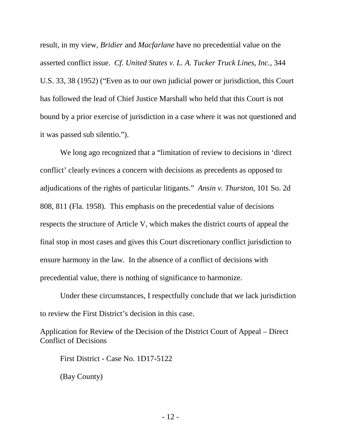result, in my view, *Bridier* and *Macfarlane* have no precedential value on the asserted conflict issue. *Cf*. *United States v. L. A. Tucker Truck Lines*, *Inc.,* 344 U.S. 33, 38 (1952) ("Even as to our own judicial power or jurisdiction, this Court has followed the lead of Chief Justice Marshall who held that this Court is not bound by a prior exercise of jurisdiction in a case where it was not questioned and it was passed sub silentio.").

We long ago recognized that a "limitation of review to decisions in 'direct conflict' clearly evinces a concern with decisions as precedents as opposed to adjudications of the rights of particular litigants." *Ansin v. Thurston*, 101 So. 2d 808, 811 (Fla. 1958). This emphasis on the precedential value of decisions respects the structure of Article V, which makes the district courts of appeal the final stop in most cases and gives this Court discretionary conflict jurisdiction to ensure harmony in the law. In the absence of a conflict of decisions with precedential value, there is nothing of significance to harmonize.

Under these circumstances, I respectfully conclude that we lack jurisdiction to review the First District's decision in this case.

Application for Review of the Decision of the District Court of Appeal – Direct Conflict of Decisions

First District - Case No. 1D17-5122

(Bay County)